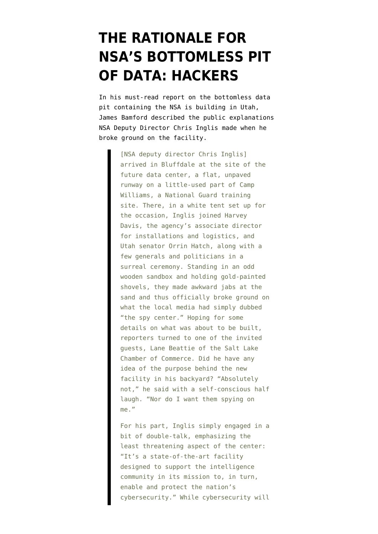## **[THE RATIONALE FOR](https://www.emptywheel.net/2012/03/19/the-rationale-for-nsas-bottomless-pit-of-data-hackers/) [NSA'S BOTTOMLESS PIT](https://www.emptywheel.net/2012/03/19/the-rationale-for-nsas-bottomless-pit-of-data-hackers/) [OF DATA: HACKERS](https://www.emptywheel.net/2012/03/19/the-rationale-for-nsas-bottomless-pit-of-data-hackers/)**

In his [must-read report](http://www.wired.com/threatlevel/2012/03/ff_nsadatacenter/all/1) on the bottomless data pit containing the NSA is building in Utah, James Bamford described the public explanations NSA Deputy Director Chris Inglis made when he broke ground on the facility.

> [NSA deputy director Chris Inglis] arrived in Bluffdale at the site of the future data center, a flat, unpaved runway on a little-used part of Camp Williams, a National Guard training site. There, in a white tent set up for the occasion, Inglis joined Harvey Davis, the agency's associate director for installations and logistics, and Utah senator Orrin Hatch, along with a few generals and politicians in a surreal ceremony. Standing in an odd wooden sandbox and holding gold-painted shovels, they made awkward jabs at the sand and thus officially broke ground on what the local media had simply dubbed "the spy center." Hoping for some details on what was about to be built, reporters turned to one of the invited guests, Lane Beattie of the Salt Lake Chamber of Commerce. Did he have any idea of the purpose behind the new facility in his backyard? "Absolutely not," he said with a self-conscious half laugh. "Nor do I want them spying on me."

> For his part, Inglis simply engaged in a bit of double-talk, emphasizing the least threatening aspect of the center: "It's a state-of-the-art facility designed to support the intelligence community in its mission to, in turn, enable and protect the nation's cybersecurity." While cybersecurity will